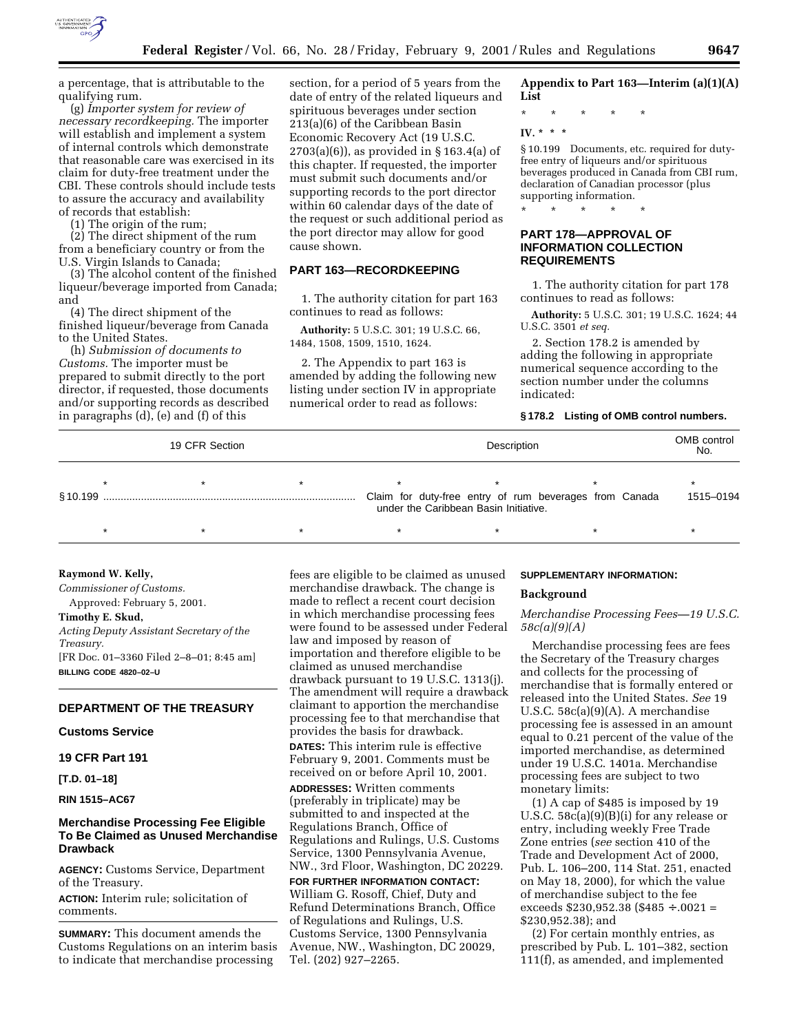

a percentage, that is attributable to the qualifying rum.

(g) *Importer system for review of necessary recordkeeping.* The importer will establish and implement a system of internal controls which demonstrate that reasonable care was exercised in its claim for duty-free treatment under the CBI. These controls should include tests to assure the accuracy and availability of records that establish:

(1) The origin of the rum;

(2) The direct shipment of the rum from a beneficiary country or from the U.S. Virgin Islands to Canada;

(3) The alcohol content of the finished liqueur/beverage imported from Canada; and

(4) The direct shipment of the finished liqueur/beverage from Canada to the United States.

(h) *Submission of documents to Customs.* The importer must be prepared to submit directly to the port director, if requested, those documents and/or supporting records as described in paragraphs (d), (e) and (f) of this

section, for a period of 5 years from the date of entry of the related liqueurs and spirituous beverages under section 213(a)(6) of the Caribbean Basin Economic Recovery Act (19 U.S.C. 2703(a)(6)), as provided in § 163.4(a) of this chapter. If requested, the importer must submit such documents and/or supporting records to the port director within 60 calendar days of the date of the request or such additional period as the port director may allow for good cause shown.

## **PART 163—RECORDKEEPING**

1. The authority citation for part 163 continues to read as follows:

**Authority:** 5 U.S.C. 301; 19 U.S.C. 66, 1484, 1508, 1509, 1510, 1624.

2. The Appendix to part 163 is amended by adding the following new listing under section IV in appropriate numerical order to read as follows:

## **Appendix to Part 163—Interim (a)(1)(A) List**

\* \* \* \* \*

## **IV. \* \* \***

§ 10.199 Documents, etc. required for dutyfree entry of liqueurs and/or spirituous beverages produced in Canada from CBI rum, declaration of Canadian processor (plus supporting information.

\* \* \* \* \*

## **PART 178—APPROVAL OF INFORMATION COLLECTION REQUIREMENTS**

1. The authority citation for part 178 continues to read as follows:

**Authority:** 5 U.S.C. 301; 19 U.S.C. 1624; 44 U.S.C. 3501 *et seq.*

2. Section 178.2 is amended by adding the following in appropriate numerical sequence according to the section number under the columns indicated:

## **§ 178.2 Listing of OMB control numbers.**

| 19 CFR Section |  |  |  | Description |  |                                                                                                 |  |  |  | OMB control<br>No. |
|----------------|--|--|--|-------------|--|-------------------------------------------------------------------------------------------------|--|--|--|--------------------|
|                |  |  |  |             |  | Claim for duty-free entry of rum beverages from Canada<br>under the Caribbean Basin Initiative. |  |  |  | 1515-0194          |
|                |  |  |  |             |  |                                                                                                 |  |  |  |                    |

#### **Raymond W. Kelly,**

*Commissioner of Customs.*

Approved: February 5, 2001.

**Timothy E. Skud,**

*Acting Deputy Assistant Secretary of the Treasury.* [FR Doc. 01–3360 Filed 2–8–01; 8:45 am] **BILLING CODE 4820–02–U**

## **DEPARTMENT OF THE TREASURY**

## **Customs Service**

**19 CFR Part 191**

**[T.D. 01–18]**

## **RIN 1515–AC67**

## **Merchandise Processing Fee Eligible To Be Claimed as Unused Merchandise Drawback**

**AGENCY:** Customs Service, Department of the Treasury.

**ACTION:** Interim rule; solicitation of comments.

**SUMMARY:** This document amends the Customs Regulations on an interim basis to indicate that merchandise processing

fees are eligible to be claimed as unused merchandise drawback. The change is made to reflect a recent court decision in which merchandise processing fees were found to be assessed under Federal law and imposed by reason of importation and therefore eligible to be claimed as unused merchandise drawback pursuant to 19 U.S.C. 1313(j). The amendment will require a drawback claimant to apportion the merchandise processing fee to that merchandise that provides the basis for drawback. **DATES:** This interim rule is effective

February 9, 2001. Comments must be received on or before April 10, 2001.

**ADDRESSES:** Written comments (preferably in triplicate) may be submitted to and inspected at the Regulations Branch, Office of Regulations and Rulings, U.S. Customs Service, 1300 Pennsylvania Avenue, NW., 3rd Floor, Washington, DC 20229.

**FOR FURTHER INFORMATION CONTACT:** William G. Rosoff, Chief, Duty and Refund Determinations Branch, Office of Regulations and Rulings, U.S. Customs Service, 1300 Pennsylvania Avenue, NW., Washington, DC 20029, Tel. (202) 927–2265.

#### **SUPPLEMENTARY INFORMATION:**

#### **Background**

*Merchandise Processing Fees—19 U.S.C. 58c(a)(9)(A)*

Merchandise processing fees are fees the Secretary of the Treasury charges and collects for the processing of merchandise that is formally entered or released into the United States. *See* 19 U.S.C. 58c(a)(9)(A). A merchandise processing fee is assessed in an amount equal to 0.21 percent of the value of the imported merchandise, as determined under 19 U.S.C. 1401a. Merchandise processing fees are subject to two monetary limits:

(1) A cap of \$485 is imposed by 19 U.S.C. 58c(a)(9)(B)(i) for any release or entry, including weekly Free Trade Zone entries (*see* section 410 of the Trade and Development Act of 2000, Pub. L. 106–200, 114 Stat. 251, enacted on May 18, 2000), for which the value of merchandise subject to the fee exceeds \$230,952.38 (\$485 ÷ .0021 = \$230,952.38); and

(2) For certain monthly entries, as prescribed by Pub. L. 101–382, section 111(f), as amended, and implemented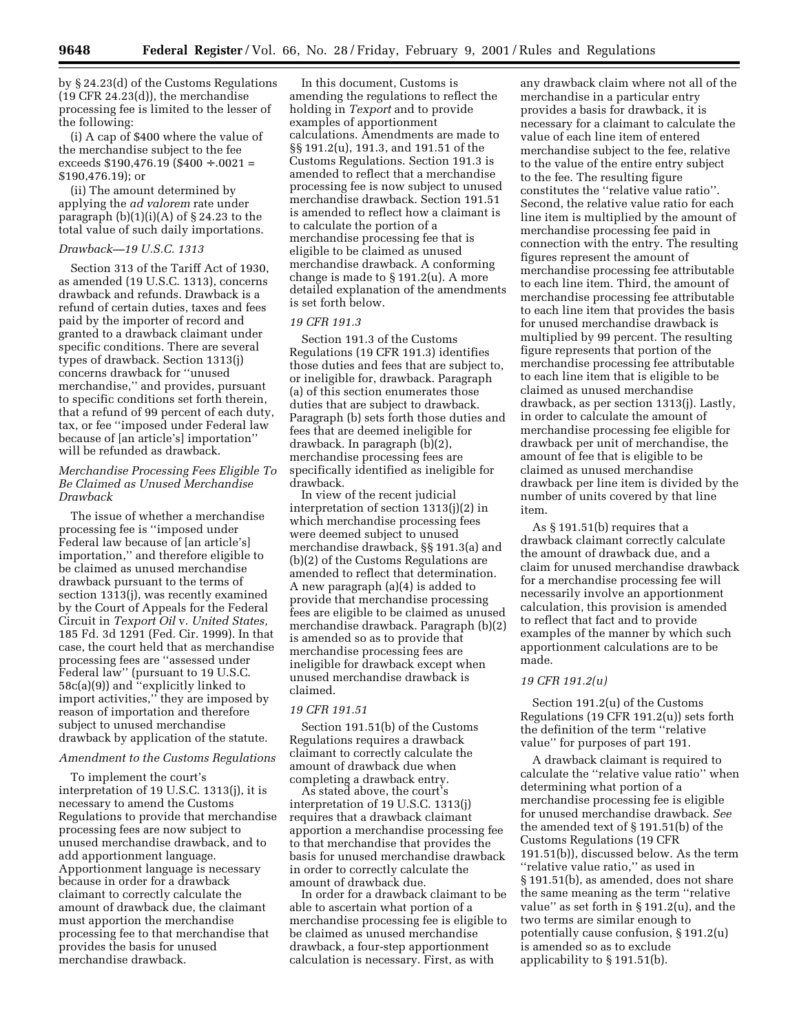by § 24.23(d) of the Customs Regulations (19 CFR 24.23(d)), the merchandise processing fee is limited to the lesser of the following:

(i) A cap of \$400 where the value of the merchandise subject to the fee exceeds \$190,476.19 (\$400 ÷ .0021 = \$190,476.19); or

(ii) The amount determined by applying the *ad valorem* rate under paragraph  $(b)(1)(i)(A)$  of § 24.23 to the total value of such daily importations.

#### *Drawback—19 U.S.C. 1313*

Section 313 of the Tariff Act of 1930, as amended (19 U.S.C. 1313), concerns drawback and refunds. Drawback is a refund of certain duties, taxes and fees paid by the importer of record and granted to a drawback claimant under specific conditions. There are several types of drawback. Section 1313(j) concerns drawback for ''unused merchandise,'' and provides, pursuant to specific conditions set forth therein, that a refund of 99 percent of each duty, tax, or fee ''imposed under Federal law because of [an article's] importation'' will be refunded as drawback.

## *Merchandise Processing Fees Eligible To Be Claimed as Unused Merchandise Drawback*

The issue of whether a merchandise processing fee is ''imposed under Federal law because of [an article's] importation,'' and therefore eligible to be claimed as unused merchandise drawback pursuant to the terms of section 1313(j), was recently examined by the Court of Appeals for the Federal Circuit in *Texport Oil* v. *United States,* 185 Fd. 3d 1291 (Fed. Cir. 1999). In that case, the court held that as merchandise processing fees are ''assessed under Federal law'' (pursuant to 19 U.S.C. 58c(a)(9)) and ''explicitly linked to import activities,'' they are imposed by reason of importation and therefore subject to unused merchandise drawback by application of the statute.

#### *Amendment to the Customs Regulations*

To implement the court's interpretation of 19 U.S.C. 1313(j), it is necessary to amend the Customs Regulations to provide that merchandise processing fees are now subject to unused merchandise drawback, and to add apportionment language. Apportionment language is necessary because in order for a drawback claimant to correctly calculate the amount of drawback due, the claimant must apportion the merchandise processing fee to that merchandise that provides the basis for unused merchandise drawback.

In this document, Customs is amending the regulations to reflect the holding in *Texport* and to provide examples of apportionment calculations. Amendments are made to §§ 191.2(u), 191.3, and 191.51 of the Customs Regulations. Section 191.3 is amended to reflect that a merchandise processing fee is now subject to unused merchandise drawback. Section 191.51 is amended to reflect how a claimant is to calculate the portion of a merchandise processing fee that is eligible to be claimed as unused merchandise drawback. A conforming change is made to § 191.2(u). A more detailed explanation of the amendments is set forth below.

## *19 CFR 191.3*

Section 191.3 of the Customs Regulations (19 CFR 191.3) identifies those duties and fees that are subject to, or ineligible for, drawback. Paragraph (a) of this section enumerates those duties that are subject to drawback. Paragraph (b) sets forth those duties and fees that are deemed ineligible for drawback. In paragraph (b)(2), merchandise processing fees are specifically identified as ineligible for drawback.

In view of the recent judicial interpretation of section 1313(j)(2) in which merchandise processing fees were deemed subject to unused merchandise drawback, §§ 191.3(a) and (b)(2) of the Customs Regulations are amended to reflect that determination. A new paragraph (a)(4) is added to provide that merchandise processing fees are eligible to be claimed as unused merchandise drawback. Paragraph (b)(2) is amended so as to provide that merchandise processing fees are ineligible for drawback except when unused merchandise drawback is claimed.

## *19 CFR 191.51*

Section 191.51(b) of the Customs Regulations requires a drawback claimant to correctly calculate the amount of drawback due when completing a drawback entry.

As stated above, the court's interpretation of 19 U.S.C. 1313(j) requires that a drawback claimant apportion a merchandise processing fee to that merchandise that provides the basis for unused merchandise drawback in order to correctly calculate the amount of drawback due.

In order for a drawback claimant to be able to ascertain what portion of a merchandise processing fee is eligible to be claimed as unused merchandise drawback, a four-step apportionment calculation is necessary. First, as with

any drawback claim where not all of the merchandise in a particular entry provides a basis for drawback, it is necessary for a claimant to calculate the value of each line item of entered merchandise subject to the fee, relative to the value of the entire entry subject to the fee. The resulting figure constitutes the ''relative value ratio''. Second, the relative value ratio for each line item is multiplied by the amount of merchandise processing fee paid in connection with the entry. The resulting figures represent the amount of merchandise processing fee attributable to each line item. Third, the amount of merchandise processing fee attributable to each line item that provides the basis for unused merchandise drawback is multiplied by 99 percent. The resulting figure represents that portion of the merchandise processing fee attributable to each line item that is eligible to be claimed as unused merchandise drawback, as per section 1313(j). Lastly, in order to calculate the amount of merchandise processing fee eligible for drawback per unit of merchandise, the amount of fee that is eligible to be claimed as unused merchandise drawback per line item is divided by the number of units covered by that line item.

As § 191.51(b) requires that a drawback claimant correctly calculate the amount of drawback due, and a claim for unused merchandise drawback for a merchandise processing fee will necessarily involve an apportionment calculation, this provision is amended to reflect that fact and to provide examples of the manner by which such apportionment calculations are to be made.

#### *19 CFR 191.2(u)*

Section 191.2(u) of the Customs Regulations (19 CFR 191.2(u)) sets forth the definition of the term ''relative value'' for purposes of part 191.

A drawback claimant is required to calculate the ''relative value ratio'' when determining what portion of a merchandise processing fee is eligible for unused merchandise drawback. *See* the amended text of § 191.51(b) of the Customs Regulations (19 CFR 191.51(b)), discussed below. As the term ''relative value ratio,'' as used in § 191.51(b), as amended, does not share the same meaning as the term ''relative value'' as set forth in § 191.2(u), and the two terms are similar enough to potentially cause confusion, § 191.2(u) is amended so as to exclude applicability to § 191.51(b).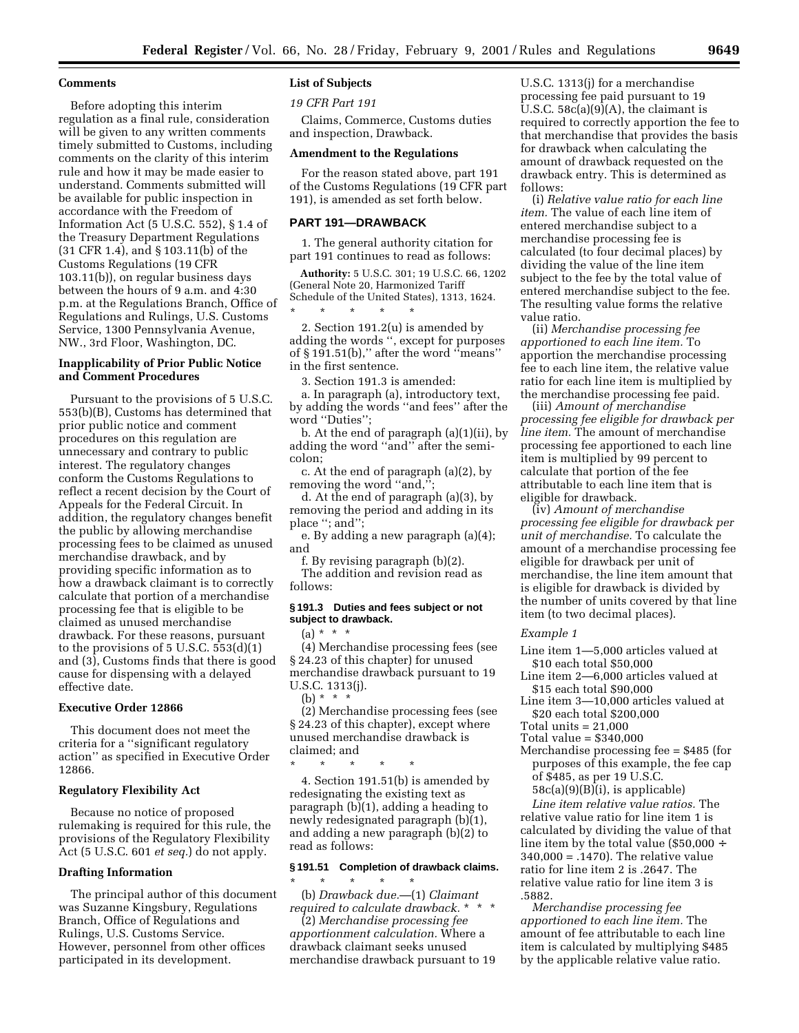## **Comments**

Before adopting this interim regulation as a final rule, consideration will be given to any written comments timely submitted to Customs, including comments on the clarity of this interim rule and how it may be made easier to understand. Comments submitted will be available for public inspection in accordance with the Freedom of Information Act (5 U.S.C. 552), § 1.4 of the Treasury Department Regulations (31 CFR 1.4), and § 103.11(b) of the Customs Regulations (19 CFR 103.11(b)), on regular business days between the hours of 9 a.m. and 4:30 p.m. at the Regulations Branch, Office of Regulations and Rulings, U.S. Customs Service, 1300 Pennsylvania Avenue, NW., 3rd Floor, Washington, DC.

## **Inapplicability of Prior Public Notice and Comment Procedures**

Pursuant to the provisions of 5 U.S.C. 553(b)(B), Customs has determined that prior public notice and comment procedures on this regulation are unnecessary and contrary to public interest. The regulatory changes conform the Customs Regulations to reflect a recent decision by the Court of Appeals for the Federal Circuit. In addition, the regulatory changes benefit the public by allowing merchandise processing fees to be claimed as unused merchandise drawback, and by providing specific information as to how a drawback claimant is to correctly calculate that portion of a merchandise processing fee that is eligible to be claimed as unused merchandise drawback. For these reasons, pursuant to the provisions of  $5 \text{ U.S.C. } 553\text{ (d)}(1)$ and (3), Customs finds that there is good cause for dispensing with a delayed effective date.

#### **Executive Order 12866**

This document does not meet the criteria for a ''significant regulatory action'' as specified in Executive Order 12866.

#### **Regulatory Flexibility Act**

Because no notice of proposed rulemaking is required for this rule, the provisions of the Regulatory Flexibility Act (5 U.S.C. 601 *et seq.*) do not apply.

#### **Drafting Information**

The principal author of this document was Suzanne Kingsbury, Regulations Branch, Office of Regulations and Rulings, U.S. Customs Service. However, personnel from other offices participated in its development.

## **List of Subjects**

*19 CFR Part 191*

Claims, Commerce, Customs duties and inspection, Drawback.

#### **Amendment to the Regulations**

For the reason stated above, part 191 of the Customs Regulations (19 CFR part 191), is amended as set forth below.

#### **PART 191—DRAWBACK**

1. The general authority citation for part 191 continues to read as follows:

**Authority:** 5 U.S.C. 301; 19 U.S.C. 66, 1202 (General Note 20, Harmonized Tariff Schedule of the United States), 1313, 1624. \* \* \* \* \*

2. Section 191.2(u) is amended by adding the words '', except for purposes of § 191.51(b),'' after the word ''means'' in the first sentence.

3. Section 191.3 is amended:

a. In paragraph (a), introductory text, by adding the words ''and fees'' after the word ''Duties'';

b. At the end of paragraph (a)(1)(ii), by adding the word ''and'' after the semicolon;

c. At the end of paragraph (a)(2), by removing the word ''and,'';

d. At the end of paragraph (a)(3), by removing the period and adding in its place ''; and'';

e. By adding a new paragraph (a)(4); and

f. By revising paragraph (b)(2). The addition and revision read as follows:

#### **§ 191.3 Duties and fees subject or not subject to drawback.**

 $(a) * * * *$ 

(4) Merchandise processing fees (see § 24.23 of this chapter) for unused merchandise drawback pursuant to 19 U.S.C. 1313(j).

(b)  $* * * *$ 

(2) Merchandise processing fees (see § 24.23 of this chapter), except where unused merchandise drawback is claimed; and

\* \* \* \* \* 4. Section 191.51(b) is amended by redesignating the existing text as paragraph (b)(1), adding a heading to newly redesignated paragraph (b)(1), and adding a new paragraph (b)(2) to read as follows:

#### **§ 191.51 Completion of drawback claims.**  $\star$   $\star$   $\star$

(b) *Drawback due.*—(1) *Claimant required to calculate drawback.* \*

(2) *Merchandise processing fee apportionment calculation.* Where a drawback claimant seeks unused merchandise drawback pursuant to 19 U.S.C. 1313(j) for a merchandise processing fee paid pursuant to 19 U.S.C. 58c(a)(9)(A), the claimant is required to correctly apportion the fee to that merchandise that provides the basis for drawback when calculating the amount of drawback requested on the drawback entry. This is determined as follows:

(i) *Relative value ratio for each line item.* The value of each line item of entered merchandise subject to a merchandise processing fee is calculated (to four decimal places) by dividing the value of the line item subject to the fee by the total value of entered merchandise subject to the fee. The resulting value forms the relative value ratio.

(ii) *Merchandise processing fee apportioned to each line item.* To apportion the merchandise processing fee to each line item, the relative value ratio for each line item is multiplied by the merchandise processing fee paid.

(iii) *Amount of merchandise processing fee eligible for drawback per line item.* The amount of merchandise processing fee apportioned to each line item is multiplied by 99 percent to calculate that portion of the fee attributable to each line item that is eligible for drawback.

(iv) *Amount of merchandise processing fee eligible for drawback per unit of merchandise.* To calculate the amount of a merchandise processing fee eligible for drawback per unit of merchandise, the line item amount that is eligible for drawback is divided by the number of units covered by that line item (to two decimal places).

## *Example 1*

Line item 1—5,000 articles valued at \$10 each total \$50,000

Line item 2—6,000 articles valued at \$15 each total \$90,000

Line item 3—10,000 articles valued at \$20 each total \$200,000

Total units  $= 21,000$ 

Total value = \$340,000

Merchandise processing fee = \$485 (for purposes of this example, the fee cap of \$485, as per 19 U.S.C.

58c(a)(9)(B)(i), is applicable) *Line item relative value ratios.* The

relative value ratio for line item 1 is calculated by dividing the value of that line item by the total value (\$50,000 ÷ 340,000 = .1470). The relative value ratio for line item 2 is .2647. The relative value ratio for line item 3 is .5882.

*Merchandise processing fee apportioned to each line item.* The amount of fee attributable to each line item is calculated by multiplying \$485 by the applicable relative value ratio.